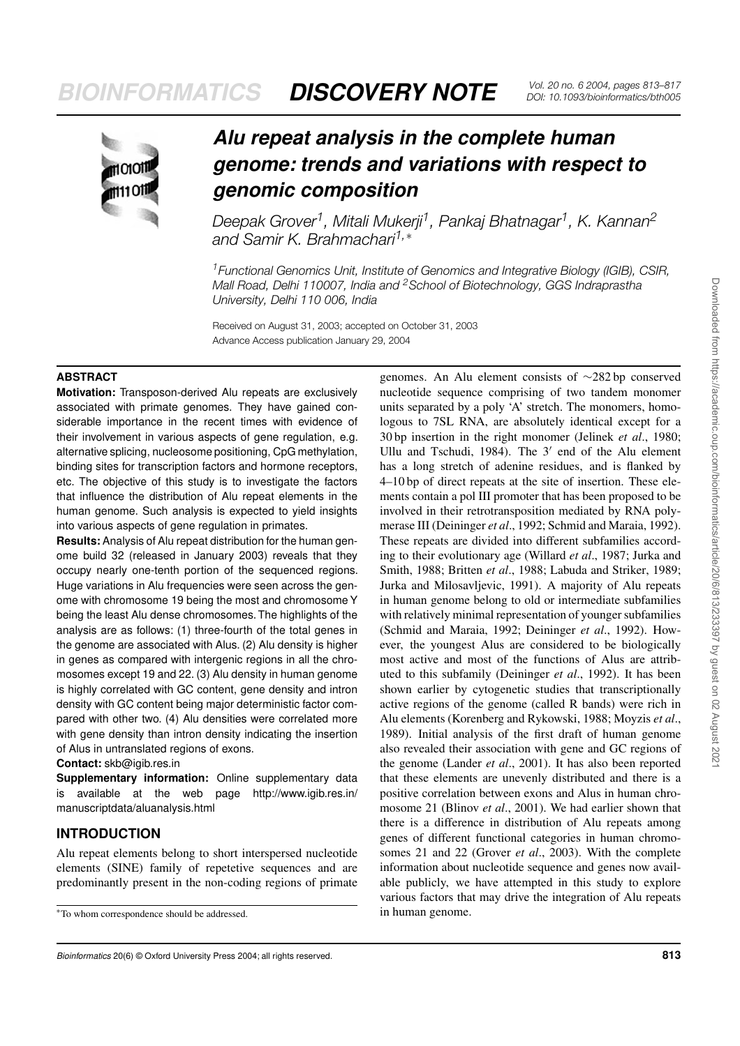

# *Alu repeat analysis in the complete human genome: trends and variations with respect to genomic composition*

*Deepak Grover<sup>1</sup> , Mitali Mukerji<sup>1</sup> , Pankaj Bhatnagar<sup>1</sup> , K. Kannan<sup>2</sup> and Samir K. Brahmachari1,*<sup>∗</sup>

*<sup>1</sup>Functional Genomics Unit, Institute of Genomics and Integrative Biology (IGIB), CSIR, Mall Road, Delhi 110007, India and <sup>2</sup>School of Biotechnology, GGS Indraprastha University, Delhi 110 006, India*

Received on August 31, 2003; accepted on October 31, 2003 Advance Access publication January 29, 2004

### **ABSTRACT**

**Motivation:** Transposon-derived Alu repeats are exclusively associated with primate genomes. They have gained considerable importance in the recent times with evidence of their involvement in various aspects of gene regulation, e.g. alternative splicing, nucleosome positioning, CpG methylation, binding sites for transcription factors and hormone receptors, etc. The objective of this study is to investigate the factors that influence the distribution of Alu repeat elements in the human genome. Such analysis is expected to yield insights into various aspects of gene regulation in primates.

**Results:** Analysis of Alu repeat distribution for the human genome build 32 (released in January 2003) reveals that they occupy nearly one-tenth portion of the sequenced regions. Huge variations in Alu frequencies were seen across the genome with chromosome 19 being the most and chromosome Y being the least Alu dense chromosomes. The highlights of the analysis are as follows: (1) three-fourth of the total genes in the genome are associated with Alus. (2) Alu density is higher in genes as compared with intergenic regions in all the chromosomes except 19 and 22. (3) Alu density in human genome is highly correlated with GC content, gene density and intron density with GC content being major deterministic factor compared with other two. (4) Alu densities were correlated more with gene density than intron density indicating the insertion of Alus in untranslated regions of exons.

#### **Contact:** skb@igib.res.in

**Supplementary information:** Online supplementary data is available at the web page http://www.igib.res.in/ manuscriptdata/aluanalysis.html

# **INTRODUCTION**

Alu repeat elements belong to short interspersed nucleotide elements (SINE) family of repetetive sequences and are predominantly present in the non-coding regions of primate

Bioinformatics 20(6) © Oxford University Press 2004; all rights reserved. **813**

genomes. An Alu element consists of ∼282 bp conserved nucleotide sequence comprising of two tandem monomer units separated by a poly 'A' stretch. The monomers, homologous to 7SL RNA, are absolutely identical except for a 30 bp insertion in the right monomer (Jelinek *et al*., 1980; Ullu and Tschudi, 1984). The 3' end of the Alu element has a long stretch of adenine residues, and is flanked by 4–10 bp of direct repeats at the site of insertion. These elements contain a pol III promoter that has been proposed to be involved in their retrotransposition mediated by RNA polymerase III (Deininger *et al*., 1992; Schmid and Maraia, 1992). These repeats are divided into different subfamilies according to their evolutionary age (Willard *et al*., 1987; Jurka and Smith, 1988; Britten *et al*., 1988; Labuda and Striker, 1989; Jurka and Milosavljevic, 1991). A majority of Alu repeats in human genome belong to old or intermediate subfamilies with relatively minimal representation of younger subfamilies (Schmid and Maraia, 1992; Deininger *et al*., 1992). However, the youngest Alus are considered to be biologically most active and most of the functions of Alus are attributed to this subfamily (Deininger *et al*., 1992). It has been shown earlier by cytogenetic studies that transcriptionally active regions of the genome (called R bands) were rich in Alu elements (Korenberg and Rykowski, 1988; Moyzis *et al*., 1989). Initial analysis of the first draft of human genome also revealed their association with gene and GC regions of the genome (Lander *et al*., 2001). It has also been reported that these elements are unevenly distributed and there is a positive correlation between exons and Alus in human chromosome 21 (Blinov *et al*., 2001). We had earlier shown that there is a difference in distribution of Alu repeats among genes of different functional categories in human chromosomes 21 and 22 (Grover *et al*., 2003). With the complete information about nucleotide sequence and genes now available publicly, we have attempted in this study to explore various factors that may drive the integration of Alu repeats in human genome.

<sup>∗</sup>To whom correspondence should be addressed.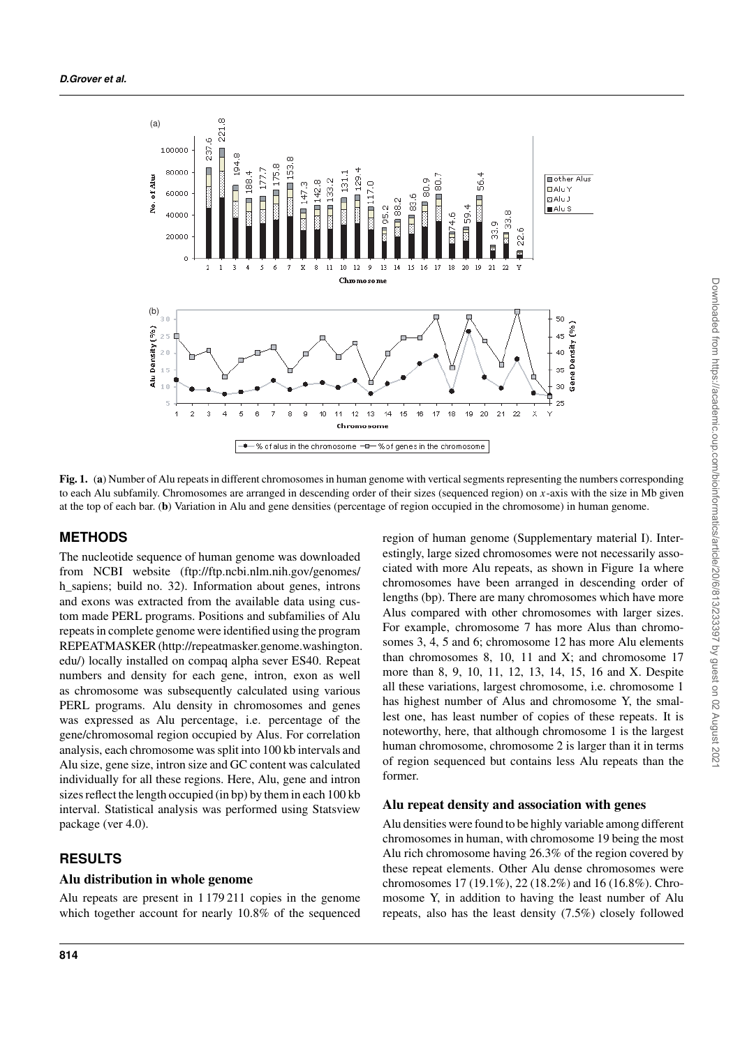

**Fig. 1.** (**a**) Number of Alu repeats in different chromosomes in human genome with vertical segments representing the numbers corresponding to each Alu subfamily. Chromosomes are arranged in descending order of their sizes (sequenced region) on x-axis with the size in Mb given at the top of each bar. (**b**) Variation in Alu and gene densities (percentage of region occupied in the chromosome) in human genome.

# **METHODS**

The nucleotide sequence of human genome was downloaded from NCBI website (ftp://ftp.ncbi.nlm.nih.gov/genomes/ h sapiens; build no. 32). Information about genes, introns and exons was extracted from the available data using custom made PERL programs. Positions and subfamilies of Alu repeats in complete genome were identified using the program REPEATMASKER (http://repeatmasker.genome.washington. edu/) locally installed on compaq alpha sever ES40. Repeat numbers and density for each gene, intron, exon as well as chromosome was subsequently calculated using various PERL programs. Alu density in chromosomes and genes was expressed as Alu percentage, i.e. percentage of the gene/chromosomal region occupied by Alus. For correlation analysis, each chromosome was split into 100 kb intervals and Alu size, gene size, intron size and GC content was calculated individually for all these regions. Here, Alu, gene and intron sizes reflect the length occupied (in bp) by them in each 100 kb interval. Statistical analysis was performed using Statsview package (ver 4.0).

# **RESULTS**

# **Alu distribution in whole genome**

Alu repeats are present in 1 179 211 copies in the genome which together account for nearly 10.8% of the sequenced region of human genome (Supplementary material I). Interestingly, large sized chromosomes were not necessarily associated with more Alu repeats, as shown in Figure 1a where chromosomes have been arranged in descending order of lengths (bp). There are many chromosomes which have more Alus compared with other chromosomes with larger sizes. For example, chromosome 7 has more Alus than chromosomes 3, 4, 5 and 6; chromosome 12 has more Alu elements than chromosomes 8, 10, 11 and X; and chromosome 17 more than 8, 9, 10, 11, 12, 13, 14, 15, 16 and X. Despite all these variations, largest chromosome, i.e. chromosome 1 has highest number of Alus and chromosome Y, the smallest one, has least number of copies of these repeats. It is noteworthy, here, that although chromosome 1 is the largest human chromosome, chromosome 2 is larger than it in terms of region sequenced but contains less Alu repeats than the former.

### **Alu repeat density and association with genes**

Alu densities were found to be highly variable among different chromosomes in human, with chromosome 19 being the most Alu rich chromosome having 26.3% of the region covered by these repeat elements. Other Alu dense chromosomes were chromosomes 17 (19.1%), 22 (18.2%) and 16 (16.8%). Chromosome Y, in addition to having the least number of Alu repeats, also has the least density (7.5%) closely followed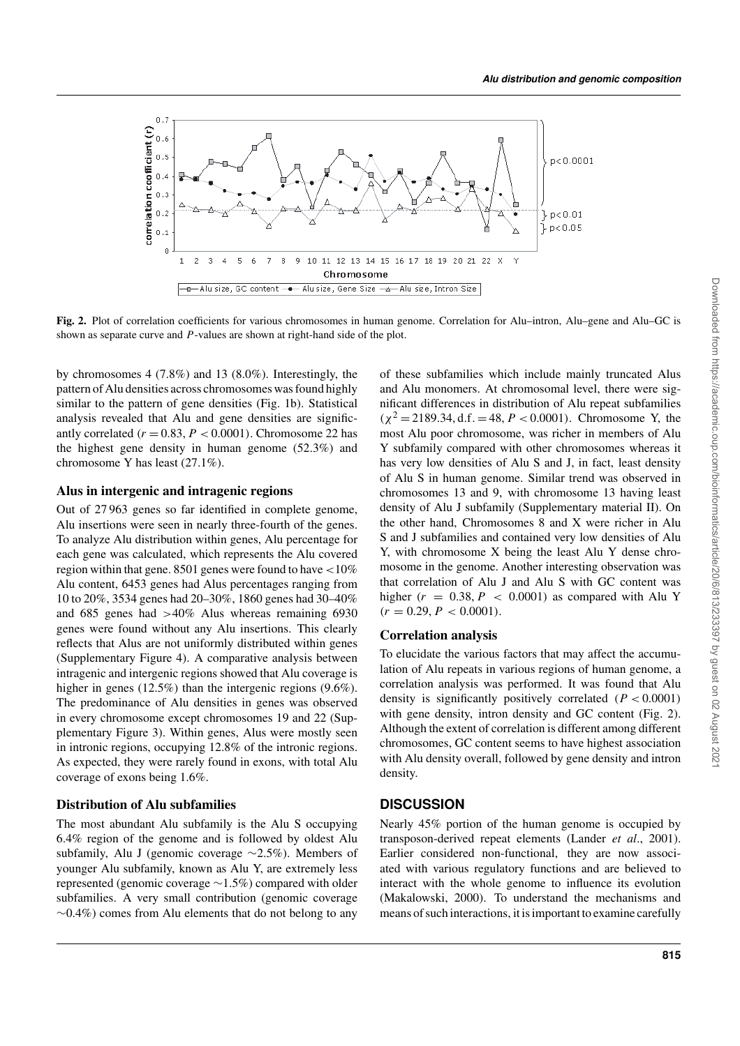

**Fig. 2.** Plot of correlation coefficients for various chromosomes in human genome. Correlation for Alu–intron, Alu–gene and Alu–GC is shown as separate curve and P-values are shown at right-hand side of the plot.

by chromosomes 4 (7.8%) and 13 (8.0%). Interestingly, the pattern of Alu densities across chromosomes was found highly similar to the pattern of gene densities (Fig. 1b). Statistical analysis revealed that Alu and gene densities are significantly correlated ( $r = 0.83$ ,  $P < 0.0001$ ). Chromosome 22 has the highest gene density in human genome (52.3%) and chromosome Y has least (27.1%).

#### **Alus in intergenic and intragenic regions**

Out of 27 963 genes so far identified in complete genome, Alu insertions were seen in nearly three-fourth of the genes. To analyze Alu distribution within genes, Alu percentage for each gene was calculated, which represents the Alu covered region within that gene. 8501 genes were found to have  $\langle 10\%$ Alu content, 6453 genes had Alus percentages ranging from 10 to 20%, 3534 genes had 20–30%, 1860 genes had 30–40% and 685 genes had >40% Alus whereas remaining 6930 genes were found without any Alu insertions. This clearly reflects that Alus are not uniformly distributed within genes (Supplementary Figure 4). A comparative analysis between intragenic and intergenic regions showed that Alu coverage is higher in genes (12.5%) than the intergenic regions (9.6%). The predominance of Alu densities in genes was observed in every chromosome except chromosomes 19 and 22 (Supplementary Figure 3). Within genes, Alus were mostly seen in intronic regions, occupying 12.8% of the intronic regions. As expected, they were rarely found in exons, with total Alu coverage of exons being 1.6%.

#### **Distribution of Alu subfamilies**

The most abundant Alu subfamily is the Alu S occupying 6.4% region of the genome and is followed by oldest Alu subfamily, Alu J (genomic coverage ∼2.5%). Members of younger Alu subfamily, known as Alu Y, are extremely less represented (genomic coverage ∼1.5%) compared with older subfamilies. A very small contribution (genomic coverage ∼0.4%) comes from Alu elements that do not belong to any

of these subfamilies which include mainly truncated Alus and Alu monomers. At chromosomal level, there were significant differences in distribution of Alu repeat subfamilies  $(\chi^2 = 2189.34, d.f. = 48, P < 0.0001)$ . Chromosome Y, the most Alu poor chromosome, was richer in members of Alu Y subfamily compared with other chromosomes whereas it has very low densities of Alu S and J, in fact, least density of Alu S in human genome. Similar trend was observed in chromosomes 13 and 9, with chromosome 13 having least density of Alu J subfamily (Supplementary material II). On the other hand, Chromosomes 8 and X were richer in Alu S and J subfamilies and contained very low densities of Alu Y, with chromosome X being the least Alu Y dense chromosome in the genome. Another interesting observation was that correlation of Alu J and Alu S with GC content was higher  $(r = 0.38, P < 0.0001)$  as compared with Alu Y  $(r = 0.29, P < 0.0001).$ 

#### **Correlation analysis**

To elucidate the various factors that may affect the accumulation of Alu repeats in various regions of human genome, a correlation analysis was performed. It was found that Alu density is significantly positively correlated  $(P < 0.0001)$ with gene density, intron density and GC content (Fig. 2). Although the extent of correlation is different among different chromosomes, GC content seems to have highest association with Alu density overall, followed by gene density and intron density.

#### **DISCUSSION**

Nearly 45% portion of the human genome is occupied by transposon-derived repeat elements (Lander *et al*., 2001). Earlier considered non-functional, they are now associated with various regulatory functions and are believed to interact with the whole genome to influence its evolution (Makalowski, 2000). To understand the mechanisms and means of such interactions, it is important to examine carefully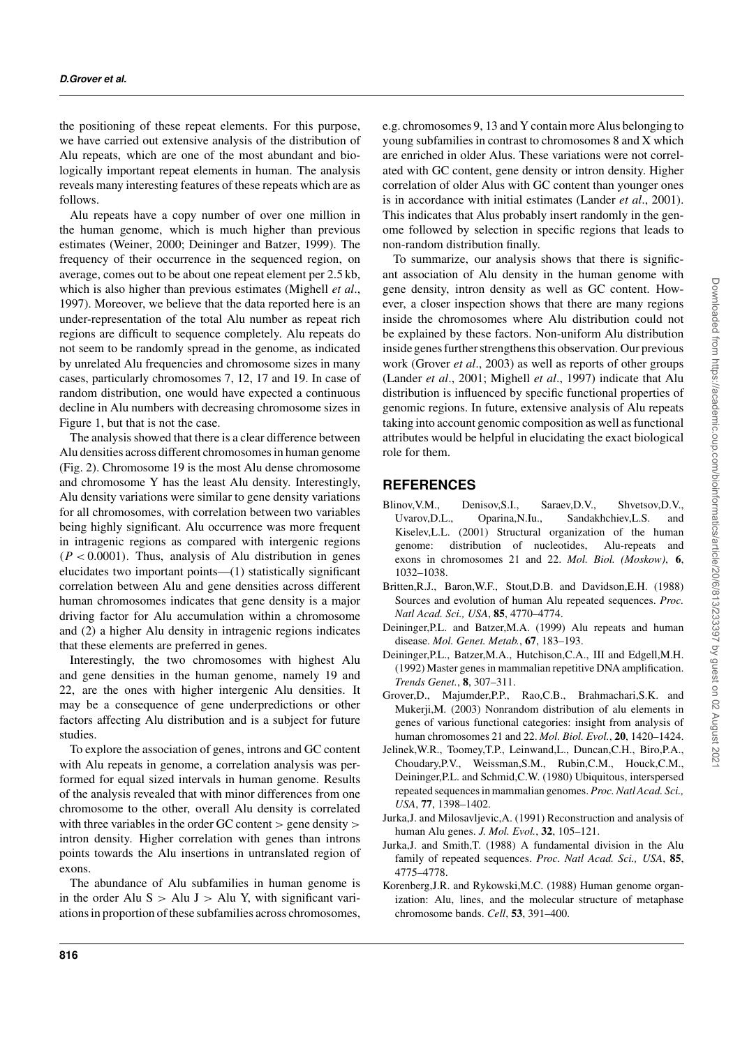the positioning of these repeat elements. For this purpose, we have carried out extensive analysis of the distribution of Alu repeats, which are one of the most abundant and biologically important repeat elements in human. The analysis reveals many interesting features of these repeats which are as follows.

Alu repeats have a copy number of over one million in the human genome, which is much higher than previous estimates (Weiner, 2000; Deininger and Batzer, 1999). The frequency of their occurrence in the sequenced region, on average, comes out to be about one repeat element per 2.5 kb, which is also higher than previous estimates (Mighell *et al*., 1997). Moreover, we believe that the data reported here is an under-representation of the total Alu number as repeat rich regions are difficult to sequence completely. Alu repeats do not seem to be randomly spread in the genome, as indicated by unrelated Alu frequencies and chromosome sizes in many cases, particularly chromosomes 7, 12, 17 and 19. In case of random distribution, one would have expected a continuous decline in Alu numbers with decreasing chromosome sizes in Figure 1, but that is not the case.

The analysis showed that there is a clear difference between Alu densities across different chromosomes in human genome (Fig. 2). Chromosome 19 is the most Alu dense chromosome and chromosome Y has the least Alu density. Interestingly, Alu density variations were similar to gene density variations for all chromosomes, with correlation between two variables being highly significant. Alu occurrence was more frequent in intragenic regions as compared with intergenic regions  $(P < 0.0001)$ . Thus, analysis of Alu distribution in genes elucidates two important points—(1) statistically significant correlation between Alu and gene densities across different human chromosomes indicates that gene density is a major driving factor for Alu accumulation within a chromosome and (2) a higher Alu density in intragenic regions indicates that these elements are preferred in genes.

Interestingly, the two chromosomes with highest Alu and gene densities in the human genome, namely 19 and 22, are the ones with higher intergenic Alu densities. It may be a consequence of gene underpredictions or other factors affecting Alu distribution and is a subject for future studies.

To explore the association of genes, introns and GC content with Alu repeats in genome, a correlation analysis was performed for equal sized intervals in human genome. Results of the analysis revealed that with minor differences from one chromosome to the other, overall Alu density is correlated with three variables in the order GC content  $>$  gene density  $>$ intron density. Higher correlation with genes than introns points towards the Alu insertions in untranslated region of exons.

The abundance of Alu subfamilies in human genome is in the order Alu  $S >$  Alu  $J >$  Alu Y, with significant variations in proportion of these subfamilies across chromosomes,

e.g. chromosomes 9, 13 and Y contain more Alus belonging to young subfamilies in contrast to chromosomes 8 and X which are enriched in older Alus. These variations were not correlated with GC content, gene density or intron density. Higher correlation of older Alus with GC content than younger ones is in accordance with initial estimates (Lander *et al*., 2001). This indicates that Alus probably insert randomly in the genome followed by selection in specific regions that leads to non-random distribution finally.

To summarize, our analysis shows that there is significant association of Alu density in the human genome with gene density, intron density as well as GC content. However, a closer inspection shows that there are many regions inside the chromosomes where Alu distribution could not be explained by these factors. Non-uniform Alu distribution inside genes further strengthens this observation. Our previous work (Grover *et al*., 2003) as well as reports of other groups (Lander *et al*., 2001; Mighell *et al*., 1997) indicate that Alu distribution is influenced by specific functional properties of genomic regions. In future, extensive analysis of Alu repeats taking into account genomic composition as well as functional attributes would be helpful in elucidating the exact biological role for them.

# **REFERENCES**

- Blinov,V.M., Denisov,S.I., Saraev,D.V., Shvetsov,D.V., Uvarov,D.L., Oparina,N.Iu., Sandakhchiev,L.S. and Kiselev,L.L. (2001) Structural organization of the human genome: distribution of nucleotides, Alu-repeats and exons in chromosomes 21 and 22. *Mol. Biol. (Moskow)*, **6**, 1032–1038.
- Britten,R.J., Baron,W.F., Stout,D.B. and Davidson,E.H. (1988) Sources and evolution of human Alu repeated sequences. *Proc. Natl Acad. Sci., USA*, **85**, 4770–4774.
- Deininger,P.L. and Batzer,M.A. (1999) Alu repeats and human disease. *Mol. Genet. Metab.*, **67**, 183–193.
- Deininger,P.L., Batzer,M.A., Hutchison,C.A., III and Edgell,M.H. (1992) Master genes in mammalian repetitive DNA amplification. *Trends Genet.*, **8**, 307–311.
- Grover,D., Majumder,P.P., Rao,C.B., Brahmachari,S.K. and Mukerji,M. (2003) Nonrandom distribution of alu elements in genes of various functional categories: insight from analysis of human chromosomes 21 and 22. *Mol. Biol. Evol.*, **20**, 1420–1424.
- Jelinek,W.R., Toomey,T.P., Leinwand,L., Duncan,C.H., Biro,P.A., Choudary,P.V., Weissman,S.M., Rubin,C.M., Houck,C.M., Deininger,P.L. and Schmid,C.W. (1980) Ubiquitous, interspersed repeated sequences in mammalian genomes. *Proc. Natl Acad. Sci., USA*, **77**, 1398–1402.
- Jurka,J. and Milosavljevic,A. (1991) Reconstruction and analysis of human Alu genes. *J. Mol. Evol.*, **32**, 105–121.
- Jurka,J. and Smith,T. (1988) A fundamental division in the Alu family of repeated sequences. *Proc. Natl Acad. Sci., USA*, **85**, 4775–4778.
- Korenberg,J.R. and Rykowski,M.C. (1988) Human genome organization: Alu, lines, and the molecular structure of metaphase chromosome bands. *Cell*, **53**, 391–400.